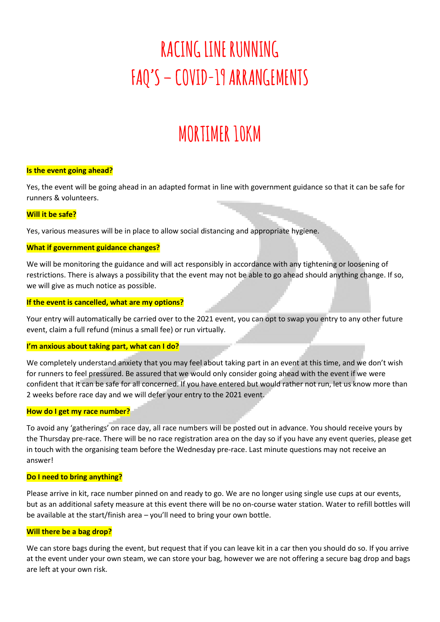# **RACING LINE RUNNING FAQ'S – COVID-19 ARRANGEMENTS**

# **MORTIMER 10KM**

# **Is the event going ahead?**

Yes, the event will be going ahead in an adapted format in line with government guidance so that it can be safe for runners & volunteers.

# **Will it be safe?**

Yes, various measures will be in place to allow social distancing and appropriate hygiene.

# **What if government guidance changes?**

We will be monitoring the guidance and will act responsibly in accordance with any tightening or loosening of restrictions. There is always a possibility that the event may not be able to go ahead should anything change. If so, we will give as much notice as possible.

# **If the event is cancelled, what are my options?**

Your entry will automatically be carried over to the 2021 event, you can opt to swap you entry to any other future event, claim a full refund (minus a small fee) or run virtually.

# **I'm anxious about taking part, what can I do?**

We completely understand anxiety that you may feel about taking part in an event at this time, and we don't wish for runners to feel pressured. Be assured that we would only consider going ahead with the event if we were confident that it can be safe for all concerned. If you have entered but would rather not run, let us know more than 2 weeks before race day and we will defer your entry to the 2021 event.

# **How do I get my race number?**

To avoid any 'gatherings' on race day, all race numbers will be posted out in advance. You should receive yours by the Thursday pre-race. There will be no race registration area on the day so if you have any event queries, please get in touch with the organising team before the Wednesday pre-race. Last minute questions may not receive an answer!

# **Do I need to bring anything?**

Please arrive in kit, race number pinned on and ready to go. We are no longer using single use cups at our events, but as an additional safety measure at this event there will be no on-course water station. Water to refill bottles will be available at the start/finish area – you'll need to bring your own bottle.

# **Will there be a bag drop?**

We can store bags during the event, but request that if you can leave kit in a car then you should do so. If you arrive at the event under your own steam, we can store your bag, however we are not offering a secure bag drop and bags are left at your own risk.